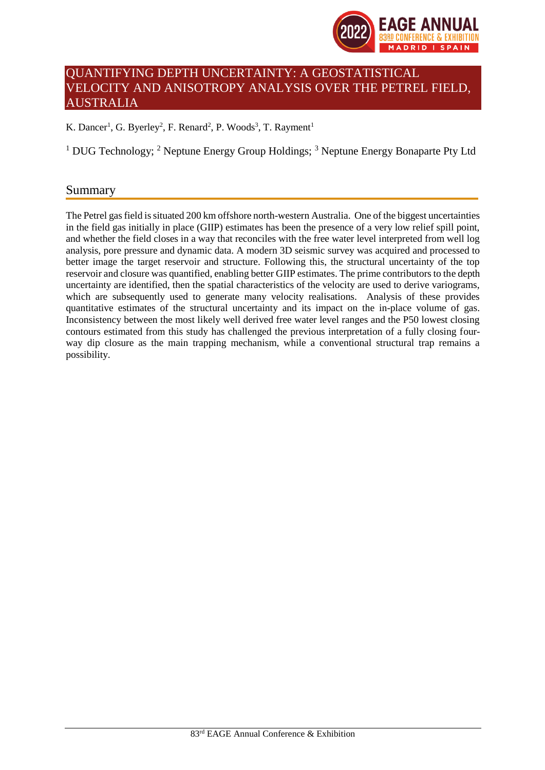

# QUANTIFYING DEPTH UNCERTAINTY: A GEOSTATISTICAL VELOCITY AND ANISOTROPY ANALYSIS OVER THE PETREL FIELD, AUSTRALIA

K. Dancer<sup>1</sup>, G. Byerley<sup>2</sup>, F. Renard<sup>2</sup>, P. Woods<sup>3</sup>, T. Rayment<sup>1</sup>

<sup>1</sup> DUG Technology; <sup>2</sup> Neptune Energy Group Holdings; <sup>3</sup> Neptune Energy Bonaparte Pty Ltd

## Summary

The Petrel gas field is situated 200 km offshore north-western Australia. One of the biggest uncertainties in the field gas initially in place (GIIP) estimates has been the presence of a very low relief spill point, and whether the field closes in a way that reconciles with the free water level interpreted from well log analysis, pore pressure and dynamic data. A modern 3D seismic survey was acquired and processed to better image the target reservoir and structure. Following this, the structural uncertainty of the top reservoir and closure was quantified, enabling better GIIP estimates. The prime contributors to the depth uncertainty are identified, then the spatial characteristics of the velocity are used to derive variograms, which are subsequently used to generate many velocity realisations. Analysis of these provides quantitative estimates of the structural uncertainty and its impact on the in-place volume of gas. Inconsistency between the most likely well derived free water level ranges and the P50 lowest closing contours estimated from this study has challenged the previous interpretation of a fully closing fourway dip closure as the main trapping mechanism, while a conventional structural trap remains a possibility.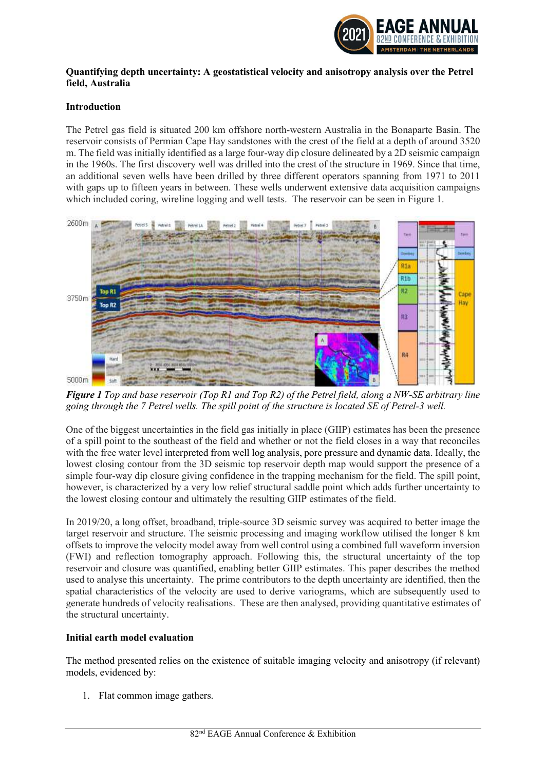

#### Quantifying depth uncertainty: A geostatistical velocity and anisotropy analysis over the Petrel field, Australia

#### Introduction

The Petrel gas field is situated 200 km offshore north-western Australia in the Bonaparte Basin. The reservoir consists of Permian Cape Hay sandstones with the crest of the field at a depth of around 3520 m. The field was initially identified as a large four-way dip closure delineated by a 2D seismic campaign in the 1960s. The first discovery well was drilled into the crest of the structure in 1969. Since that time, an additional seven wells have been drilled by three different operators spanning from 1971 to 2011 with gaps up to fifteen years in between. These wells underwent extensive data acquisition campaigns which included coring, wireline logging and well tests. The reservoir can be seen in Figure 1.



Figure 1 Top and base reservoir (Top R1 and Top R2) of the Petrel field, along a NW-SE arbitrary line going through the 7 Petrel wells. The spill point of the structure is located SE of Petrel-3 well.

One of the biggest uncertainties in the field gas initially in place (GIIP) estimates has been the presence of a spill point to the southeast of the field and whether or not the field closes in a way that reconciles with the free water level interpreted from well log analysis, pore pressure and dynamic data. Ideally, the lowest closing contour from the 3D seismic top reservoir depth map would support the presence of a simple four-way dip closure giving confidence in the trapping mechanism for the field. The spill point, however, is characterized by a very low relief structural saddle point which adds further uncertainty to the lowest closing contour and ultimately the resulting GIIP estimates of the field.

In 2019/20, a long offset, broadband, triple-source 3D seismic survey was acquired to better image the target reservoir and structure. The seismic processing and imaging workflow utilised the longer 8 km offsets to improve the velocity model away from well control using a combined full waveform inversion (FWI) and reflection tomography approach. Following this, the structural uncertainty of the top reservoir and closure was quantified, enabling better GIIP estimates. This paper describes the method used to analyse this uncertainty. The prime contributors to the depth uncertainty are identified, then the spatial characteristics of the velocity are used to derive variograms, which are subsequently used to generate hundreds of velocity realisations. These are then analysed, providing quantitative estimates of the structural uncertainty.

#### Initial earth model evaluation

The method presented relies on the existence of suitable imaging velocity and anisotropy (if relevant) models, evidenced by:

1. Flat common image gathers.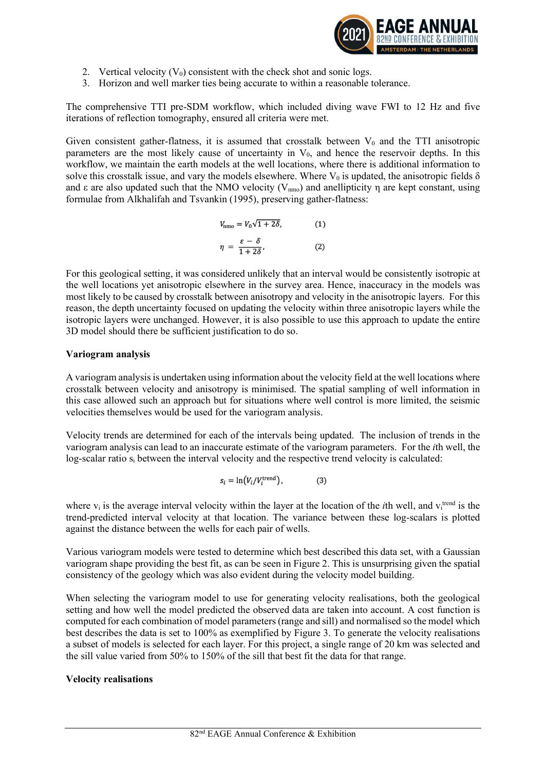

- 2. Vertical velocity  $(V_0)$  consistent with the check shot and sonic logs.
- 3. Horizon and well marker ties being accurate to within a reasonable tolerance.

The comprehensive TTI pre-SDM workflow, which included diving wave FWI to 12 Hz and five iterations of reflection tomography, ensured all criteria were met.

Given consistent gather-flatness, it is assumed that crosstalk between  $V_0$  and the TTI anisotropic parameters are the most likely cause of uncertainty in  $V_0$ , and hence the reservoir depths. In this workflow, we maintain the earth models at the well locations, where there is additional information to solve this crosstalk issue, and vary the models elsewhere. Where  $V_0$  is updated, the anisotropic fields  $\delta$ and  $\varepsilon$  are also updated such that the NMO velocity (V<sub>nmo</sub>) and anellipticity  $\eta$  are kept constant, using formulae from Alkhalifah and Tsvankin (1995), preserving gather-flatness:

$$
V_{\rm nmo} = V_0 \sqrt{1 + 2\delta}, \tag{1}
$$
\n
$$
\eta = \frac{\varepsilon - \delta}{1 + 2\delta}, \tag{2}
$$

For this geological setting, it was considered unlikely that an interval would be consistently isotropic at the well locations yet anisotropic elsewhere in the survey area. Hence, inaccuracy in the models was most likely to be caused by crosstalk between anisotropy and velocity in the anisotropic layers. For this reason, the depth uncertainty focused on updating the velocity within three anisotropic layers while the isotropic layers were unchanged. However, it is also possible to use this approach to update the entire 3D model should there be sufficient justification to do so.

## Variogram analysis

A variogram analysis is undertaken using information about the velocity field at the well locations where crosstalk between velocity and anisotropy is minimised. The spatial sampling of well information in this case allowed such an approach but for situations where well control is more limited, the seismic velocities themselves would be used for the variogram analysis.

Velocity trends are determined for each of the intervals being updated. The inclusion of trends in the variogram analysis can lead to an inaccurate estimate of the variogram parameters. For the ith well, the log-scalar ratio s<sub>i</sub> between the interval velocity and the respective trend velocity is calculated:

$$
s_i = \ln(V_i/V_i^{\text{trend}}), \tag{3}
$$

where  $v_i$  is the average interval velocity within the layer at the location of the *i*th well, and  $v_i^{\text{trend}}$  is the trend-predicted interval velocity at that location. The variance between these log-scalars is plotted against the distance between the wells for each pair of wells.

Various variogram models were tested to determine which best described this data set, with a Gaussian variogram shape providing the best fit, as can be seen in Figure 2. This is unsurprising given the spatial consistency of the geology which was also evident during the velocity model building.

When selecting the variogram model to use for generating velocity realisations, both the geological setting and how well the model predicted the observed data are taken into account. A cost function is computed for each combination of model parameters (range and sill) and normalised so the model which best describes the data is set to 100% as exemplified by Figure 3. To generate the velocity realisations a subset of models is selected for each layer. For this project, a single range of 20 km was selected and the sill value varied from 50% to 150% of the sill that best fit the data for that range.

## Velocity realisations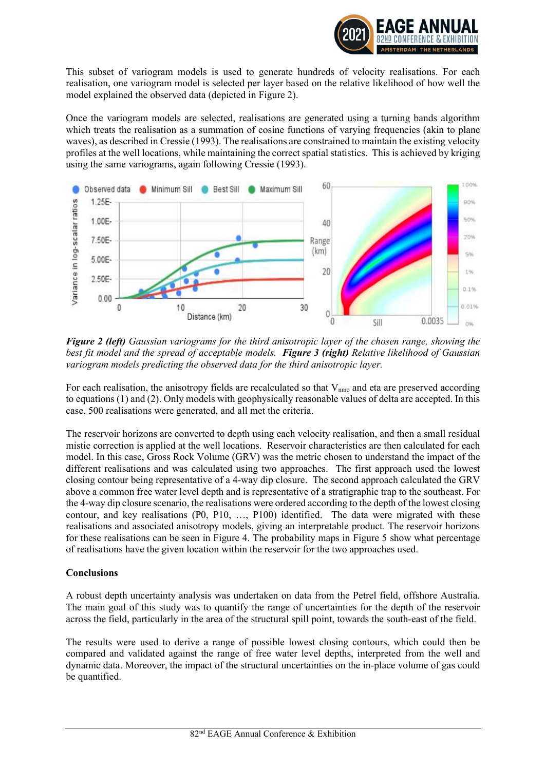

This subset of variogram models is used to generate hundreds of velocity realisations. For each realisation, one variogram model is selected per layer based on the relative likelihood of how well the model explained the observed data (depicted in Figure 2).

Once the variogram models are selected, realisations are generated using a turning bands algorithm which treats the realisation as a summation of cosine functions of varying frequencies (akin to plane waves), as described in Cressie (1993). The realisations are constrained to maintain the existing velocity profiles at the well locations, while maintaining the correct spatial statistics. This is achieved by kriging using the same variograms, again following Cressie (1993).



**Figure 2 (left)** Gaussian variograms for the third anisotropic layer of the chosen range, showing the best fit model and the spread of acceptable models. Figure 3 (right) Relative likelihood of Gaussian variogram models predicting the observed data for the third anisotropic layer.

For each realisation, the anisotropy fields are recalculated so that  $V_{\text{nmo}}$  and eta are preserved according to equations (1) and (2). Only models with geophysically reasonable values of delta are accepted. In this case, 500 realisations were generated, and all met the criteria.

The reservoir horizons are converted to depth using each velocity realisation, and then a small residual mistie correction is applied at the well locations. Reservoir characteristics are then calculated for each model. In this case, Gross Rock Volume (GRV) was the metric chosen to understand the impact of the different realisations and was calculated using two approaches. The first approach used the lowest closing contour being representative of a 4-way dip closure. The second approach calculated the GRV above a common free water level depth and is representative of a stratigraphic trap to the southeast. For the 4-way dip closure scenario, the realisations were ordered according to the depth of the lowest closing contour, and key realisations (P0, P10, …, P100) identified. The data were migrated with these realisations and associated anisotropy models, giving an interpretable product. The reservoir horizons for these realisations can be seen in Figure 4. The probability maps in Figure 5 show what percentage of realisations have the given location within the reservoir for the two approaches used.

## Conclusions

A robust depth uncertainty analysis was undertaken on data from the Petrel field, offshore Australia. The main goal of this study was to quantify the range of uncertainties for the depth of the reservoir across the field, particularly in the area of the structural spill point, towards the south-east of the field.

The results were used to derive a range of possible lowest closing contours, which could then be compared and validated against the range of free water level depths, interpreted from the well and dynamic data. Moreover, the impact of the structural uncertainties on the in-place volume of gas could be quantified.